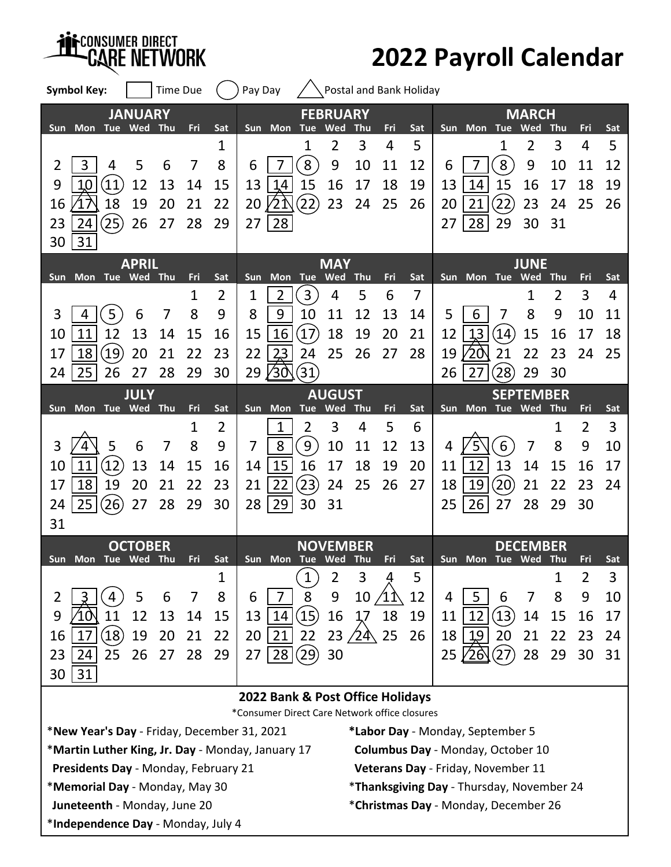*HISCONSUMER DIRECT CARE NETWORK* 

## **2022 Payroll Calendar**

| <b>Symbol Key:</b>                                                                     |                | <b>Time Due</b> |          |            | Pay Day  |                  |                          |                                                  |                 |             | Postal and Bank Holiday |            |             |                                      |                            |                |          |          |
|----------------------------------------------------------------------------------------|----------------|-----------------|----------|------------|----------|------------------|--------------------------|--------------------------------------------------|-----------------|-------------|-------------------------|------------|-------------|--------------------------------------|----------------------------|----------------|----------|----------|
| Sun Mon Tue Wed Thu                                                                    | <b>JANUARY</b> |                 | Fri      | Sat        |          | Sun Mon Tue      |                          | <b>FEBRUARY</b><br>Wed                           | Thu             | Fri         | Sat                     |            | Sun Mon Tue |                                      | <b>MARCH</b><br>Wed        | Thu            | Fri      | Sat      |
|                                                                                        |                |                 |          | 1          |          |                  | 1                        | 2                                                | 3               | 4           | 5                       |            |             | 1                                    | 2                          | 3              | 4        | 5        |
| $\overline{2}$<br>3<br>4                                                               | 5              | 6               | 7        | 8          | 6        |                  | 8                        | 9                                                | 10              | 11          | 12                      | 6          |             | 8                                    | 9                          | 10             | 11       | 12       |
| 9<br>$\overline{11}$<br>10<br>18<br>16                                                 | 12<br>19       | 13<br>20        | 14<br>21 | 15<br>22   | 13<br>20 | 14<br>∕21        | 15<br>$\left( 22\right)$ | 16<br>23                                         | 17<br>24        | 18<br>25    | 19<br>26                | 13<br>20   | 14<br>21    | 15<br>$\overline{22}$                | 16<br>23                   | 17<br>24       | 18<br>25 | 19<br>26 |
| 25<br>23<br>24                                                                         | 26             | 27              | 28       | 29         | 27       | 28               |                          |                                                  |                 |             |                         | 27         | 28          | 29                                   | 30                         | 31             |          |          |
| 31<br>30                                                                               |                |                 |          |            |          |                  |                          |                                                  |                 |             |                         |            |             |                                      |                            |                |          |          |
| <b>APRIL</b>                                                                           |                |                 |          | <b>MAY</b> |          |                  |                          |                                                  |                 | <b>JUNE</b> |                         |            |             |                                      |                            |                |          |          |
| <b>Mon</b><br>Sun                                                                      | Tue Wed        | Thu             | Fri      | Sat        | Sun      |                  | Mon Tue                  | Wed                                              | <b>Thu</b>      | Fri         | Sat                     | <b>Sun</b> | <b>Mon</b>  | Tue                                  | Wed                        | <b>Thu</b>     | Fri      | Sat      |
|                                                                                        |                |                 | 1        | 2          | 1        | 2                | 3                        | 4                                                | 5               | 6           | 7                       |            |             |                                      | 1                          | $\overline{2}$ | 3        | 4        |
| 3<br>5<br>4                                                                            | 6              | 7               | 8        | 9          | 8        | 9                | 10                       | 11                                               | 12              | 13          | 14                      | 5          | 6           | 7                                    | 8                          | 9              | 10       | 11       |
| 12<br>11<br>10<br>$\left[19\right]$<br>18                                              | 13<br>20       | 14<br>21        | 15<br>22 | 16<br>23   | 15<br>22 | 16               | $\left(17\right)$<br>24  | 18<br>25                                         | 19<br>26        | 20<br>27    | 21<br>28                | 12<br>19   | 13<br>20    | (14)<br>21                           | 15<br>22                   | 16<br>23       | 17<br>24 | 18<br>25 |
| 17<br>25<br>26<br>24                                                                   | 27             | 28              | 29       | 30         | 29       | 23<br><b>/30</b> | (31)                     |                                                  |                 |             |                         | 26         | 27          | $\left[28\right]$                    | 29                         | 30             |          |          |
|                                                                                        | <b>JULY</b>    |                 |          |            |          |                  |                          | <b>AUGUST</b>                                    |                 |             |                         |            |             |                                      | <b>SEPTEMBER</b>           |                |          |          |
| Mon Tue Wed<br><b>Sun</b>                                                              |                | Thu             | Fri      | Sat        |          |                  | Sun Mon Tue              | Wed                                              | <b>Thu</b>      | Fri         | Sat                     |            | Sun Mon     | Tue Wed                              |                            | Thu            | Fri      | Sat      |
|                                                                                        |                |                 | 1        | 2          |          | 1                | 2                        | 3                                                | 4               | 5           | 6                       |            |             |                                      |                            | 1              | 2        | 3        |
| 3<br>5                                                                                 | 6              | 7               | 8        | 9          | 7        | 8                | $9\,$                    | 10                                               | 11              | 12          | 13                      | 4          |             | 6                                    | 7                          | 8              | 9        | 10       |
| 12<br>10<br>11                                                                         | 13             | 14              | 15       | 16         | 14       | 15               | 16                       | 17                                               | 18              | 19          | 20                      | 11         | 12          | 13                                   | 14                         | 15             | 16       | 17       |
| 18<br>19<br>17                                                                         | 20             | 21              | 22       | 23         | 21       | 22               | (23)                     | 24                                               | 25              | 26          | 27                      | 18         | 19          | (20)                                 | 21                         | 22             | 23       | 24       |
| 25<br>(26)<br>24                                                                       | 27             | 28              | 29       | 30         | 28       | 29               | 30                       | 31                                               |                 |             |                         | 25         | 26          | 27                                   | 28                         | 29             | 30       |          |
| 31                                                                                     |                |                 |          |            |          |                  |                          |                                                  |                 |             |                         |            |             |                                      |                            |                |          |          |
| Sun Mon Tue Wed Thu                                                                    | <b>OCTOBER</b> |                 | Fri      | Sat        |          |                  | Sun Mon Tue Wed Thu      |                                                  | <b>NOVEMBER</b> | Fri         | Sat                     |            | Sun Mon     |                                      | <b>DECEMBER</b><br>Tue Wed | - Thu          | Fri      | Sat      |
|                                                                                        |                |                 |          | 1          |          |                  | 1                        | $\overline{2}$                                   | 3               |             | 5                       |            |             |                                      |                            | 1              | 2        | 3        |
| 2                                                                                      | 5              | 6               | $\prime$ | 8          | 6        | 7                | 8                        | 9                                                | 10              |             | 12                      | 4          | 5           | 6                                    | 7                          | 8              | 9        | 10       |
| 9<br>11                                                                                | 12             | 13              | 14       | 15         | 13       | 14               | $\left( 15\right)$       | 16                                               | 17              | 18          | 19                      | 11         | 12          | $\left(13\right)$                    | 14                         | 15             | 16       | 17       |
| $\left( 18\right)$<br>16<br>17                                                         | 19             | 20              | 21       | 22         | 20       | 21               | 22                       | 23                                               | $\sqrt{24}$     | 25          | 26                      | 18         | 19          | 20                                   | 21                         | 22             | 23       | 24       |
| 24<br>25<br>23                                                                         | 26             | 27              | 28       | 29         | 27       | 28               | $\left( 29\right)$       | 30                                               |                 |             |                         | 25         | $26\,$      | (27)                                 | 28                         | 29             | 30       | 31       |
| 31<br>30                                                                               |                |                 |          |            |          |                  |                          |                                                  |                 |             |                         |            |             |                                      |                            |                |          |          |
| 2022 Bank & Post Office Holidays<br>*Consumer Direct Care Network office closures      |                |                 |          |            |          |                  |                          |                                                  |                 |             |                         |            |             |                                      |                            |                |          |          |
| *New Year's Day - Friday, December 31, 2021<br>*Labor Day - Monday, September 5        |                |                 |          |            |          |                  |                          |                                                  |                 |             |                         |            |             |                                      |                            |                |          |          |
| *Martin Luther King, Jr. Day - Monday, January 17<br>Columbus Day - Monday, October 10 |                |                 |          |            |          |                  |                          |                                                  |                 |             |                         |            |             |                                      |                            |                |          |          |
| Presidents Day - Monday, February 21<br>Veterans Day - Friday, November 11             |                |                 |          |            |          |                  |                          |                                                  |                 |             |                         |            |             |                                      |                            |                |          |          |
| *Memorial Day - Monday, May 30                                                         |                |                 |          |            |          |                  |                          | <i>*Thanksgiving Day - Thursday, November 24</i> |                 |             |                         |            |             |                                      |                            |                |          |          |
| Juneteenth - Monday, June 20                                                           |                |                 |          |            |          |                  |                          |                                                  |                 |             |                         |            |             | *Christmas Day - Monday, December 26 |                            |                |          |          |
| *Independence Day - Monday, July 4                                                     |                |                 |          |            |          |                  |                          |                                                  |                 |             |                         |            |             |                                      |                            |                |          |          |